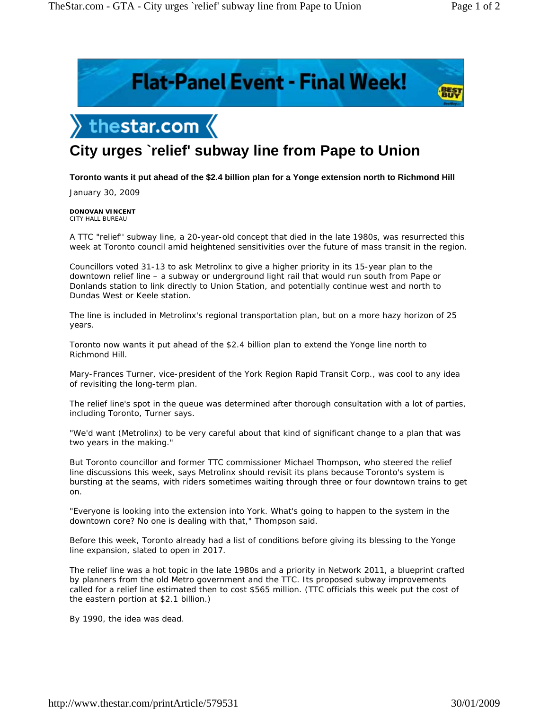**BEST** 





## **City urges `relief' subway line from Pape to Union**

## **Toronto wants it put ahead of the \$2.4 billion plan for a Yonge extension north to Richmond Hill**

January 30, 2009

## **DONOVAN VINCENT** CITY HALL BUREAU

A TTC "relief'' subway line, a 20-year-old concept that died in the late 1980s, was resurrected this week at Toronto council amid heightened sensitivities over the future of mass transit in the region.

Councillors voted 31-13 to ask Metrolinx to give a higher priority in its 15-year plan to the downtown relief line – a subway or underground light rail that would run south from Pape or Donlands station to link directly to Union Station, and potentially continue west and north to Dundas West or Keele station.

The line is included in Metrolinx's regional transportation plan, but on a more hazy horizon of 25 years.

Toronto now wants it put ahead of the \$2.4 billion plan to extend the Yonge line north to Richmond Hill.

Mary-Frances Turner, vice-president of the York Region Rapid Transit Corp., was cool to any idea of revisiting the long-term plan.

The relief line's spot in the queue was determined after thorough consultation with a lot of parties, including Toronto, Turner says.

"We'd want (Metrolinx) to be very careful about that kind of significant change to a plan that was two years in the making."

But Toronto councillor and former TTC commissioner Michael Thompson, who steered the relief line discussions this week, says Metrolinx should revisit its plans because Toronto's system is bursting at the seams, with riders sometimes waiting through three or four downtown trains to get on.

"Everyone is looking into the extension into York. What's going to happen to the system in the downtown core? No one is dealing with that," Thompson said.

Before this week, Toronto already had a list of conditions before giving its blessing to the Yonge line expansion, slated to open in 2017.

The relief line was a hot topic in the late 1980s and a priority in Network 2011, a blueprint crafted by planners from the old Metro government and the TTC. Its proposed subway improvements called for a relief line estimated then to cost \$565 million. (TTC officials this week put the cost of the eastern portion at \$2.1 billion.)

By 1990, the idea was dead.